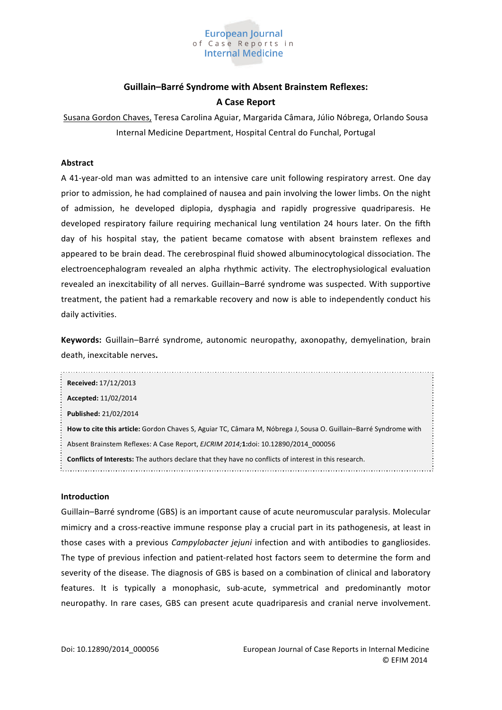

# Guillain-Barré Syndrome with Absent Brainstem Reflexes: **A Case Report**

Susana Gordon Chaves, Teresa Carolina Aguiar, Margarida Câmara, Júlio Nóbrega, Orlando Sousa Internal Medicine Department, Hospital Central do Funchal, Portugal

### **Abstract**

A 41-year-old man was admitted to an intensive care unit following respiratory arrest. One day prior to admission, he had complained of nausea and pain involving the lower limbs. On the night of admission, he developed diplopia, dysphagia and rapidly progressive quadriparesis. He developed respiratory failure requiring mechanical lung ventilation 24 hours later. On the fifth day of his hospital stay, the patient became comatose with absent brainstem reflexes and appeared to be brain dead. The cerebrospinal fluid showed albuminocytological dissociation. The electroencephalogram revealed an alpha rhythmic activity. The electrophysiological evaluation revealed an inexcitability of all nerves. Guillain-Barré syndrome was suspected. With supportive treatment, the patient had a remarkable recovery and now is able to independently conduct his daily activities.

Keywords: Guillain-Barré syndrome, autonomic neuropathy, axonopathy, demyelination, brain death, inexcitable nerves.

| <b>Received: 17/12/2013</b>                                                                                      |  |  |
|------------------------------------------------------------------------------------------------------------------|--|--|
| Accepted: 11/02/2014                                                                                             |  |  |
| Published: 21/02/2014                                                                                            |  |  |
| How to cite this article: Gordon Chaves S, Aguiar TC, Câmara M, Nóbrega J, Sousa O. Guillain–Barré Syndrome with |  |  |
| Absent Brainstem Reflexes: A Case Report, EJCRIM 2014;1:doi: 10.12890/2014 000056                                |  |  |
| <b>Conflicts of Interests:</b> The authors declare that they have no conflicts of interest in this research.     |  |  |

#### **Introduction**

Guillain-Barré syndrome (GBS) is an important cause of acute neuromuscular paralysis. Molecular mimicry and a cross-reactive immune response play a crucial part in its pathogenesis, at least in those cases with a previous Campylobacter jejuni infection and with antibodies to gangliosides. The type of previous infection and patient-related host factors seem to determine the form and severity of the disease. The diagnosis of GBS is based on a combination of clinical and laboratory features. It is typically a monophasic, sub-acute, symmetrical and predominantly motor neuropathy. In rare cases, GBS can present acute quadriparesis and cranial nerve involvement.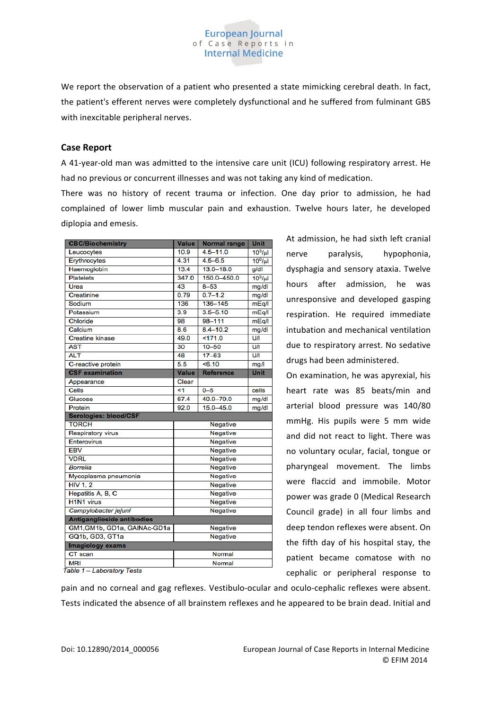We report the observation of a patient who presented a state mimicking cerebral death. In fact, the patient's efferent nerves were completely dysfunctional and he suffered from fulminant GBS with inexcitable peripheral nerves.

**European Journal** of Case Reports in **Internal Medicine** 

### **Case Report**

A 41-year-old man was admitted to the intensive care unit (ICU) following respiratory arrest. He had no previous or concurrent illnesses and was not taking any kind of medication.

There was no history of recent trauma or infection. One day prior to admission, he had complained of lower limb muscular pain and exhaustion. Twelve hours later, he developed diplopia and emesis.

| <b>CBC/Biochemistry</b>           | <b>Value</b>    | <b>Normal range</b> | <b>Unit</b>         |
|-----------------------------------|-----------------|---------------------|---------------------|
| Leucocytes                        | 10.9            | $4.5 - 11.0$        | 10 <sup>3</sup> /ul |
| Ervthrocytes                      | 4.31            | $4.5 - 6.5$         | $10^6$ /µl          |
| Haemoglobin                       | 13.4            | $13.0 - 18.0$       | g/dl                |
| <b>Platelets</b>                  | 347.0           | 150.0-450.0         | 10 <sup>3</sup> /ul |
| Urea                              | 43              | $8 - 53$            | mg/dl               |
| Creatinine                        | 0.79            | $0.7 - 1.2$         | mg/dl               |
| Sodium                            | 136             | $136 - 145$         | mEq/l               |
| Potassium                         | 3.9             | $3.5 - 5.10$        | mEq/I               |
| Chloride                          | 98              | 98-111              | mEq/I               |
| Calcium                           | 8.6             | $8.4 - 10.2$        | mg/dl               |
| <b>Creatine kinase</b>            | 49.0            | 5171.0              | UЛ                  |
| <b>AST</b>                        | 30              | $10 - 50$           | UЛ                  |
| <b>ALT</b>                        | 48              | $17 - 63$           | UЛ                  |
| C-reactive protein                | 5.5             | 56.10               | mg/l                |
| <b>CSF</b> examination            | <b>Value</b>    | <b>Reference</b>    | <b>Unit</b>         |
| Appearance                        | Clear           |                     |                     |
| Cells                             | <1              | $0 - 5$             | cells               |
| Glucose                           | 67.4            | 40.0-70.0           | mg/dl               |
| Protein                           | 92.0            | $15.0 - 45.0$       | mg/dl               |
| <b>Serologies: blood/CSF</b>      |                 |                     |                     |
| <b>TORCH</b>                      | Negative        |                     |                     |
| <b>Respiratory virus</b>          | Negative        |                     |                     |
| Enterovirus                       | Negative        |                     |                     |
| <b>EBV</b>                        | <b>Negative</b> |                     |                     |
| <b>VDRL</b>                       | Negative        |                     |                     |
| <b>Borrelia</b>                   | Negative        |                     |                     |
| Mycoplasma pneumonia              | Negative        |                     |                     |
| <b>HIV 1, 2</b>                   | Negative        |                     |                     |
| Hepatitis A, B, C                 | Negative        |                     |                     |
| <b>H1N1</b> virus                 | Negative        |                     |                     |
| Campylobacter jejuni              | Negative        |                     |                     |
| <b>Antiganglioside antibodies</b> |                 |                     |                     |
| GM1, GM1b, GD1a, GAINAc-GD1a      | Negative        |                     |                     |
| GQ1b, GD3, GT1a                   | Negative        |                     |                     |
| Imagiology exams                  |                 |                     |                     |
| CT scan                           | Normal          |                     |                     |
| <b>MRI</b>                        | Normal          |                     |                     |

Table 1 - Laboratory Tests

At admission, he had sixth left cranial nerve paralysis, hypophonia, dysphagia and sensory ataxia. Twelve hours after admission, he was unresponsive and developed gasping respiration. He required immediate intubation and mechanical ventilation due to respiratory arrest. No sedative drugs had been administered.

On examination, he was apyrexial, his heart rate was 85 beats/min and arterial blood pressure was 140/80 mmHg. His pupils were 5 mm wide and did not react to light. There was no voluntary ocular, facial, tongue or pharyngeal movement. The limbs were flaccid and immobile. Motor power was grade 0 (Medical Research Council grade) in all four limbs and deep tendon reflexes were absent. On the fifth day of his hospital stay, the patient became comatose with no cephalic or peripheral response to

pain and no corneal and gag reflexes. Vestibulo-ocular and oculo-cephalic reflexes were absent. Tests indicated the absence of all brainstem reflexes and he appeared to be brain dead. Initial and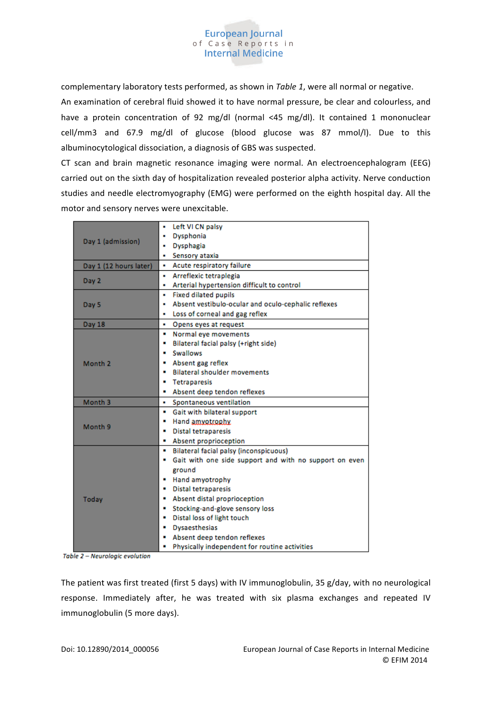

complementary laboratory tests performed, as shown in *Table 1*, were all normal or negative.

An examination of cerebral fluid showed it to have normal pressure, be clear and colourless, and have a protein concentration of 92 mg/dl (normal <45 mg/dl). It contained 1 mononuclear cell/mm3 and 67.9 mg/dl of glucose (blood glucose was 87 mmol/l). Due to this albuminocytological dissociation, a diagnosis of GBS was suspected.

CT scan and brain magnetic resonance imaging were normal. An electroencephalogram (EEG) carried out on the sixth day of hospitalization revealed posterior alpha activity. Nerve conduction studies and needle electromyography (EMG) were performed on the eighth hospital day. All the motor and sensory nerves were unexcitable.

| Day 1 (admission)      | Left VI CN palsy<br>٠<br>Dysphonia<br>٠                     |  |  |
|------------------------|-------------------------------------------------------------|--|--|
|                        | Dysphagia<br>٠                                              |  |  |
|                        | Sensory ataxia<br>٠                                         |  |  |
| Day 1 (12 hours later) | Acute respiratory failure                                   |  |  |
| Day 2                  | Arreflexic tetraplegia<br>٠                                 |  |  |
|                        | Arterial hypertension difficult to control<br>٠             |  |  |
| Day 5                  | <b>Fixed dilated pupils</b><br>٠                            |  |  |
|                        | Absent vestibulo-ocular and oculo-cephalic reflexes<br>٠    |  |  |
|                        | Loss of corneal and gag reflex<br>٠                         |  |  |
| Day 18                 | Opens eyes at request<br>٠                                  |  |  |
| Month <sub>2</sub>     | Normal eve movements<br>٠                                   |  |  |
|                        | Bilateral facial palsy (+right side)<br>٠                   |  |  |
|                        | <b>Swallows</b><br>٠                                        |  |  |
|                        | Absent gag reflex<br>٠                                      |  |  |
|                        | <b>Bilateral shoulder movements</b><br>٠                    |  |  |
|                        | <b>Tetraparesis</b><br>٠                                    |  |  |
|                        | Absent deep tendon reflexes<br>٠                            |  |  |
| Month <sub>3</sub>     | Spontaneous ventilation<br>٠                                |  |  |
|                        | Gait with bilateral support<br>٠                            |  |  |
| Month <sub>9</sub>     | Hand amyotrophy.<br>٠                                       |  |  |
|                        | Distal tetraparesis<br>٠                                    |  |  |
|                        | Absent proprioception                                       |  |  |
|                        | Bilateral facial palsy (inconspicuous)                      |  |  |
| Today                  | Gait with one side support and with no support on even<br>٠ |  |  |
|                        | ground                                                      |  |  |
|                        | Hand amyotrophy<br>۰                                        |  |  |
|                        | <b>Distal tetraparesis</b><br>$\blacksquare$                |  |  |
|                        | Absent distal proprioception<br>٠                           |  |  |
|                        | Stocking-and-glove sensory loss<br>٠                        |  |  |
|                        | Distal loss of light touch<br>٠                             |  |  |
|                        | <b>Dysaesthesias</b><br>٠                                   |  |  |
|                        | Absent deep tendon reflexes                                 |  |  |
|                        | Physically independent for routine activities               |  |  |

Table 2 - Neurologic evolution

The patient was first treated (first 5 days) with IV immunoglobulin, 35 g/day, with no neurological response. Immediately after, he was treated with six plasma exchanges and repeated IV immunoglobulin (5 more days).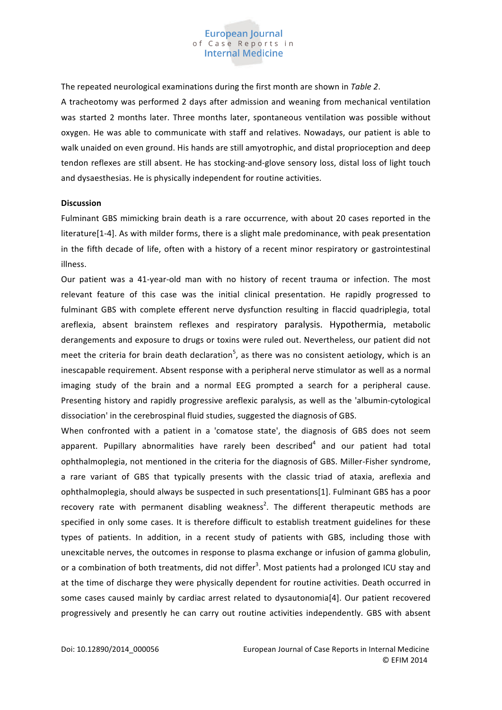

The repeated neurological examinations during the first month are shown in *Table 2*.

A tracheotomy was performed 2 days after admission and weaning from mechanical ventilation was started 2 months later. Three months later, spontaneous ventilation was possible without oxygen. He was able to communicate with staff and relatives. Nowadays, our patient is able to walk unaided on even ground. His hands are still amyotrophic, and distal proprioception and deep tendon reflexes are still absent. He has stocking-and-glove sensory loss, distal loss of light touch and dysaesthesias. He is physically independent for routine activities.

#### **Discussion**

Fulminant GBS mimicking brain death is a rare occurrence, with about 20 cases reported in the literature[1-4]. As with milder forms, there is a slight male predominance, with peak presentation in the fifth decade of life, often with a history of a recent minor respiratory or gastrointestinal illness.

Our patient was a 41-year-old man with no history of recent trauma or infection. The most relevant feature of this case was the initial clinical presentation. He rapidly progressed to fulminant GBS with complete efferent nerve dysfunction resulting in flaccid quadriplegia, total areflexia, absent brainstem reflexes and respiratory paralysis. Hypothermia, metabolic derangements and exposure to drugs or toxins were ruled out. Nevertheless, our patient did not meet the criteria for brain death declaration<sup>5</sup>, as there was no consistent aetiology, which is an inescapable requirement. Absent response with a peripheral nerve stimulator as well as a normal imaging study of the brain and a normal EEG prompted a search for a peripheral cause. Presenting history and rapidly progressive areflexic paralysis, as well as the 'albumin-cytological dissociation' in the cerebrospinal fluid studies, suggested the diagnosis of GBS.

When confronted with a patient in a 'comatose state', the diagnosis of GBS does not seem apparent. Pupillary abnormalities have rarely been described<sup>4</sup> and our patient had total ophthalmoplegia, not mentioned in the criteria for the diagnosis of GBS. Miller-Fisher syndrome, a rare variant of GBS that typically presents with the classic triad of ataxia, areflexia and ophthalmoplegia, should always be suspected in such presentations[1]. Fulminant GBS has a poor recovery rate with permanent disabling weakness<sup>2</sup>. The different therapeutic methods are specified in only some cases. It is therefore difficult to establish treatment guidelines for these types of patients. In addition, in a recent study of patients with GBS, including those with unexcitable nerves, the outcomes in response to plasma exchange or infusion of gamma globulin, or a combination of both treatments, did not differ<sup>3</sup>. Most patients had a prolonged ICU stay and at the time of discharge they were physically dependent for routine activities. Death occurred in some cases caused mainly by cardiac arrest related to dysautonomia[4]. Our patient recovered progressively and presently he can carry out routine activities independently. GBS with absent